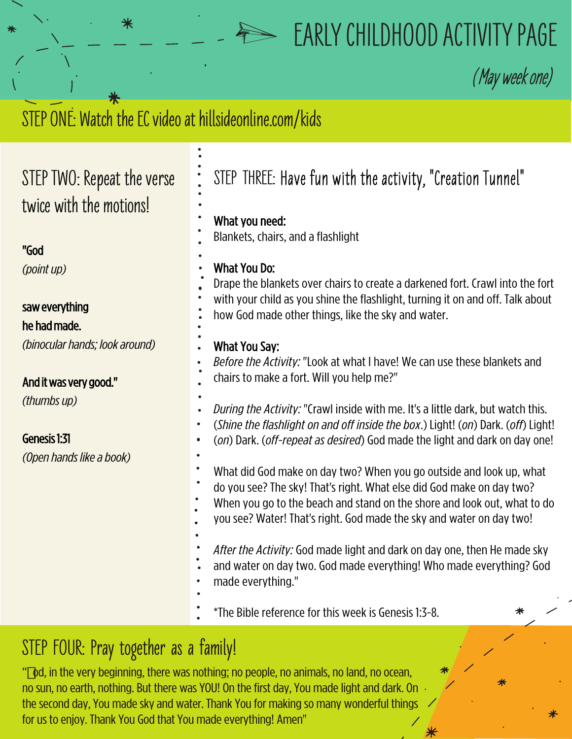# **EARLY CHILDHOOD ACTIVITY PAGE**

**(**May week one)

## STEP ONE: Watch the EC video at hillsideonline.com/kids

### **STEP TWO: Repea twice with the model**

#### "God

*(pointup)*

### saw everything

#### he had made.

*(binocular hands; look* 

#### And it was very good."

*(thumbsup)*

### Genesis 1:31

*(Open hands like a bo* 

| it the verse<br>otions! | STEP THREE: Have fun with the activity, "Creation Tunnel"<br>What you need:<br>Blankets, chairs, and a flashlight                                                                                                                                                                                |
|-------------------------|--------------------------------------------------------------------------------------------------------------------------------------------------------------------------------------------------------------------------------------------------------------------------------------------------|
|                         | <b>What You Do:</b><br>Drape the blankets over chairs to create a darkened fort. Crawl into the fort<br>with your child as you shine the flashlight, turning it on and off. Talk about<br>how God made other things, like the sky and water.                                                     |
| k around)<br>II.        | What You Say:<br>Before the Activity: "Look at what I have! We can use these blankets and<br>chairs to make a fort. Will you help me?"                                                                                                                                                           |
|                         | During the Activity: "Crawl inside with me. It's a little dark, but watch this.<br>(Shine the flashlight on and off inside the box.) Light! (on) Dark. (off) Light!<br>(on) Dark. (off-repeat as desired) God made the light and dark on day one!                                                |
| ok)                     | What did God make on day two? When you go outside and look up, what<br>do you see? The sky! That's right. What else did God make on day two?<br>When you go to the beach and stand on the shore and look out, what to do<br>you see? Water! That's right. God made the sky and water on day two! |
|                         | After the Activity: God made light and dark on day one, then He made sky<br>and water on day two. God made everything! Who made everything? God<br>made everything."                                                                                                                             |
|                         | *The Bible reference for this week is Genesis 1:3-8.                                                                                                                                                                                                                                             |
|                         |                                                                                                                                                                                                                                                                                                  |

### **STEP FOUR: Pray together as a family!**

"od, in the very beginning, there was nothing; no people, no animals, no land, no ocean, no sun, no earth, nothing. But there was YOU! On the first day, You made light and dark. On  $\beta$ the second day, You made sky and water. Thank You for making so many wonderful things for us to enjoy. Thank You God that You made everything! Amen"